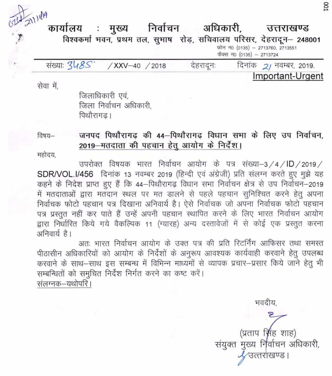211419 निर्वाचन अधिकारी, कार्यालय : मुख्य उत्तराखण्ड विश्वकर्मा भवन, प्रथम तल, सुभाष रोड़, सचिवालय परिसर, देहरादून - 248001 फोन न0 (0135) - 2713760, 2713551 फैक्स न0 (0135) - 2713724 संख्याः 348S' देहरादूनः /XXV-40 /2018 दिनांक 21 नवम्बर, 2019.

सेवा में,

जिलाधिकारी एवं. जिला निर्वाचन अधिकारी. पिथौरागढ।

#### जनपद पिथौरागढ की 44-पिथौरागढ विधान सभा के लिए उप निर्वाचन, विषय— 2019-मतदाता की पहचान हेतु आयोग के निर्देश।

महोदय.

उपरोक्त विषयक भारत निर्वाचन आयोग के पत्र संख्या-3/4/ID/2019/ SDR/VOL.I/456 दिनांक 13 नवम्बर 2019 (हिन्दी एवं अंग्रेजी) प्रति संलग्न करते हुए मुझे यह कहने के निदेश प्राप्त हुए हैं कि 44–पिथौरागढ़ विधान सभा निर्वाचन क्षेत्र से उप निर्वाचन–2019 में मतदाताओं द्वारा मतदान स्थल पर मत डालने से पहले पहचान सुनिश्चित करने हेतु अपना निर्वाचक फोटो पहचान पत्र दिखाना अनिवार्य है। ऐसे निर्वाचक जो अपना निर्वाचक फोटो पहचान पत्र प्रस्तुत नहीं कर पाते हैं उन्हें अपनी पहचान स्थापित करने के लिए भारत निर्वाचन आयोग द्वारा निर्धारित किये गये वैकल्पिक 11 (ग्यारह) अन्य दस्तावेजों में से कोई एक प्रस्तुत करना अनिवार्य है।

अतः भारत निर्वाचन आयोग के उक्त पत्र की प्रति रिटर्निंग आफिसर तथा समस्त पीठासीन अधिकारियों को आयोग के निर्देशों के अनुरूप आवश्यक कार्यवाही करवाने हेतु उपलब्ध करवाने के साथ–साथ इस सम्बन्ध में विभिन्न माध्यमों से व्यापक प्रचार–प्रसार किये जाने हेतु भी सम्बन्धितों को समुचित निर्देश निर्गत करने का कष्ट करें। संलग्नक–यथोपरि।

> (प्रताप सिंह शाह) संयुक्त मुख्य निर्वाचन अधिकारी, उत्तराखण्ड ।

भवदीय.

Important-Urgent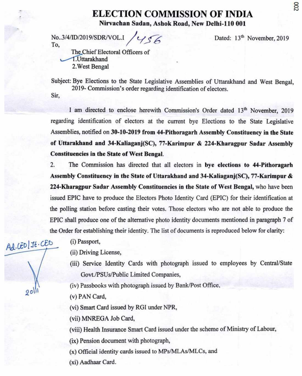#### **ELECTION COMMISSION OF INDIA Nirvachan Sadan, Ashok Road, New Delhi-i 10 001**

No..3/4/ID/2019/SDR/VOL.I /456 To,

Dated: 13<sup>th</sup> November, 2019

The Chief Electoral Officers of 1.Uttarakhand 2.West Bengal

Subject: Bye Elections to the State Legislative Assemblies of Uttarakhand and West Bengal, 2019- Commission's order regarding identification of electors. Sir,

I am directed to enclose herewith Commission's Order dated 13<sup>th</sup> November, 2019 regarding identification of electors at the current bye Elections to the State Legislative Assemblies, notified on **30-10-2019 from 44-Pithoragarh Assembly Constituency in the State of Uttarakhand and 34-Kaliaganj(SC),** 77**-Karimpur** & 224**-Kharagpur Sadar Assembly Constituencies in the State of West Bengal.** 

2. The Commission has directed that all electors in **bye elections to 44-Pithoragarh Assembly Constituency in the State of Uttarakhand and 34-Kaliaganj(SC),** 77**-Karimpur** & **224-Kharagpur Sadar Assembly Constituencies in the State of West Bengal,** who have been issued EPIC have to produce the Electors Photo Identity Card (EPIC) for their identification at the polling station before casting their votes. Those electors who are not able to produce the EPIC shall produce one of the alternative photo identity documents mentioned in paragraph 7 of the Order for establishing their identity. The list of documents is reproduced below for clarity:

 $Ad.GD1Jf.GD$  $2011$ 

(i) Passport,

(ii) Driving License,

(iii) Service Identity Cards with photograph issued to employees by Central/State Govt./PSUs/Public Limited Companies,

(iv) Passbooks with photograph issued by Bank/Post Office,

(v) PAN Card,

(vi) Smart Card issued by RGI under NPR,

(vii) MNREGA Job Card,

(viii) Health Insurance Smart Card issued under the scheme of Ministry of Labour,

(ix) Pension document with photograph,

 $(x)$  Official identity cards issued to MPs/MLAs/MLCs, and

(xi) Aadhaar Card.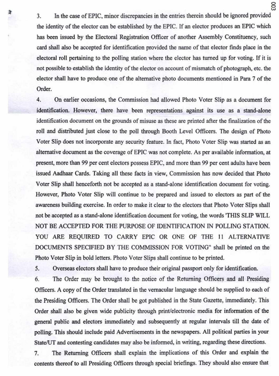3. In the case of EPIC, minor discrepancies in the entries therein should be ignored provided the identity of the elector can be established by the EPIC. If an elector produces an EPIC which has been issued by the Electoral Registration Officer of another Assembly Constituency, such card shall also be accepted for identification provided the name of that elector finds place in the electoral roll pertaining to the polling station where the elector has turned up for voting. If it is not possible to establish the identity of the elector on account of mismatch of photograph, etc. the elector shall have to produce one of the alternative photo documents mentioned in Para 7 of the Order.

3

4. On earlier occasions, the Commission had allowed Photo Voter Slip as a document for identification. However, there have been representations against its use as a stand-alone identification document on the grounds of misuse as these are printed after the finalization of the roll and distributed just close to the poll through Booth Level Officers. The design of Photo Voter Slip does not incorporate any security feature. In fact, Photo Voter Slip was started as an alternative document as the coverage of EPIC was not complete. As per available information, at present, more than 99 per cent electors possess EPIC, and more than 99 per cent adults have been issued Aadhaar Cards. Taking all these facts in view, Commission has now decided that Photo Voter Slip shall henceforth not be accepted as a stand-alone identification document for voting. However, Photo Voter Slip will continue to be prepared and issued to electors as part of the awareness building exercise. In order to make it clear to the electors that Photo Voter Slips shall not be accepted as a stand-alone identification document for voting, the words 'THIS SLIP WILL NOT **BE** ACCEPTED FOR THE PURPOSE OF IDENTIFICATION IN POLLING STATION. YOU ARE REQUIRED TO CARRY EPIC OR ONE OF THE II ALTERNATIVE DOCUMENTS SPECIFIED BY THE COMMISSION FOR VOTING' shall be printed on the Photo Voter Slip in bold letters. Photo Voter Slips shall continue to be printed.

5. Overseas electors shall have to produce their original passport only for identification.

6. The Order may be brought to the notice of the Returning Officers and all Presiding Officers. A copy of the Order translated in the vernacular language should be supplied to each of the Presiding Officers. The Order shall be got published in the State Gazette, immediately. This Order shall also be given wide publicity through print/electronic media for information of the general public and electors immediately and subsequently at regular intervals till the date of polling. This should include paid Advertisements in the newspapers. All political parties in your State/UT and contesting candidates may also be informed, in writing, regarding these directions.

7. The Returning Officers shall explain the implications of this Order and explain the contents thereof to all Presiding Officers through special briefings. They should also ensure that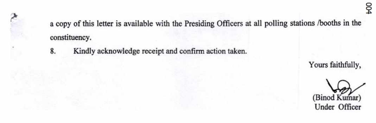a copy of this letter is available with the Presiding Officers at all polling stations /booths in the constituency.

8. Kindly acknowledge receipt and confirm action taken.

Yours faithfully,

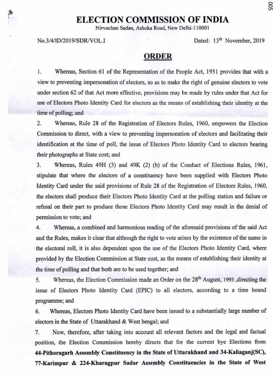## **ELECTION COMMISSION OF INDIA**

**Nirvachan Sadan, Ashoka Road, New Delhi-I 10001** 

No.3/4/ID/2019/SDRJVOL.I Dated: *13th* November, 2019

#### **ORDER**

1. Whereas, Section 61 of the Representation of the People Act, 1951 provides that with a view to preventing impersonation of electors, so as to make the right of genuine electors to vote under section 62 of that Act more effective, provisions may be made by rules under that Act for use of Electors Photo Identity Card for electors as the means of establishing their identity at the time of polling; and

2. Whereas, Rule 28 of the Registration of Electors Rules, 1960, empowers the Election Commission to direct, with a view to preventing impersonation of electors and facilitating their identification at the time of poll, the issue of Electors Photo Identity Card to electors bearing their photographs at State cost; and

3. Whereas, Rules 49H (3) and 49K (2) (b) of the Conduct of Elections Rules, 1961, stipulate that where the electors of a constituency have been supplied with Electors Photo Identity Card under the said provisions of Rule 28 of the Registration of Electors Rules, 1960, the electors shall produce their Electors Photo Identity Card at the polling station and failure or refusal on their part to produce those Electors Photo Identity Card may result in the denial of permission to vote; and

4. Whereas, a combined and harmonious reading of the aforesaid provisions of the said Act and the Rules, makes it clear that although the right to vote arises by the existence of the name in the electoral roll, it is also dependent upon the use of the Electors Photo Identity Card, where provided by the Election Commission at State cost, as the means of establishing their identity at the time of polling and that both are to be used together; and

5. Whereas, the Election Commission made an Order on the 28<sup>th</sup> August, 1993 ,directing the issue of Electors Photo Identity Card (EPIC) to all electors, according to a time bound programme; and

6. Whereas, Electors Photo Identity Card have been issued to a substantially large number of electors in the State of Uttarakhand & West bengal; and

7. Now, therefore, after taking into account all relevant factors and the legal and factual position, the Election Commission hereby directs that for the current bye Elections from **44-Pithoragarh Assembly Constituency in the State of Uttarakhand and 34-Kaliaganj(SC),**  77**-Kariinpur** & **224-Kharagpur Sadar Assembly Constituencies in the State of West**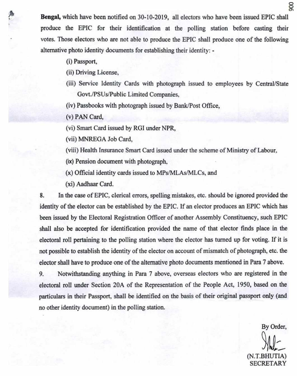**Bengal,** which have been notified on 30-10-2019, all electors who have been issued EPIC shall produce the EPIC for their identification at the polling station before casting their votes. Those electors who are not able to produce the EPIC shall produce one of the following alternative photo identity documents for establishing their identity: -

- (i) Passport,
- (ii) Driving License,
- (iii) Service Identity Cards with photograph issued to employees by Central/State Govt./PSUs/Public Limited Companies,
- (iv) Passbooks with photograph issued by Bank/Post Office,
- (v) PAN Card,
- (vi) Smart Card issued by RGI under NPR,
- (vii) MNREGA Job Card,
- (viii) Health Insurance Smart Card issued under the scheme of Ministry of Labour.
- (ix) Pension document with photograph.
- (x) Official identity cards issued to MPs/MLAs/MLCs, and
- (xi) Aadhaar Card.

8. In the case of EPIC, clerical errors, spelling mistakes, etc. should be ignored provided the identity of the elector can be established by the EPIC. If an elector produces an EPIC which has been issued by the Electoral Registration Officer of another Assembly Constituency, such EPIC shall also be accepted for identification provided the name of that elector finds place in the electoral roll pertaining to the polling station where the elector has turned up for voting. If it is not possible to establish the identity of the elector on account of mismatch of photograph, etc. the elector shall have to produce one of the alternative photo documents mentioned in Para 7 above.

9. Notwithstanding anything in Para 7 above, overseas electors who are registered in the electoral roll under Section 20A of the Representation of the People Act, 1950, based on the particulars in their Passport. shall be identified on the basis of their original passport only (and no other identity document) in the polling station.

By Order,  $(N.T.BHI)$ SECRETARY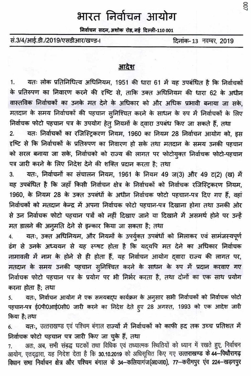# भारत निर्वाचन आयोग

निर्वाचन सदन, अशोक रोड, नई दिल्ली-110 001

सं.3/4/आई.डी./2019/एसडीआर/खण्ड-।

दिनांक-13 नवम्बर, 2019

### आदेश

यतः लोक प्रतिनिधित्व अधिनियम, 1951 की धारा 61 में यह उपबंधित है कि निर्वाचकों 1. के प्रतिरुपण का निवारण करने की दृष्टि से, ताकि उक्त अधिनियम की धारा 62 के अधीन वास्तविक निर्वाचकों का उनके मत देने के अधिकार को और अधिक प्रभावी बनाया जा सके, मतदान के समय निर्वाचकों की पहचान सुनिश्चित करने के साधन के रुप में निर्वाचकों के लिए निर्वाचक फोटो पहचान पत्र के उपयोग हेत् नियमों के दवारा उपबंध किए जा सकते हैं, तथा

यतः निर्वाचकों का रजिस्ट्रिकरण नियम, 1960 का नियम 28 निर्वाचन आयोग को, इस 2. दृष्टि से कि निर्वाचकों के प्रतिरुपण का निवारण हो सके तथा मतदान के समय उनकी पहचान को सरल बनाया जा सके, निर्वाचको को राज्य की लागत पर फोटोयुक्त निर्वाचक फोटो-पहचान पत्र जारी करने के लिए निदेश देने की शक्ति प्रदान करता है; तथा

यतः, निर्वाचनों का संचालन नियम, 1961 के नियम 49 ज(3) और 49 ट(2) (ख) में 3. यह उपबंधित है कि जहाँ किसी निर्वाचन क्षेत्र के निर्वाचकों को निर्वाचक रजिस्ट्रिकरण नियम, 1960, के नियम 28 के उक्त उपबंधों के अधीन निर्वाचक फोटो पहचान-पत्र दिए गए हैं, वहां निर्वाचकों को मतदान केन्द्र में अपना निर्वाचक फोटो पहचान-पत्र दिखाना होगा तथा उनकी ओर से उन निर्वाचक फोटो पहचान पत्रों को नहीं दिखाए जाने या दिखाने में असमर्थ होने पर उन्हें मत डालने की अनूमति देने से इन्कार किया जा सकता है; तथा

यतः, उक्त अधिनियम, और नियमों के उपर्युक्त उपबंधों को मिलाकर एवं सामंजस्यपूर्ण ढंग से उनके अध्ययन से यह स्प्षट होता है कि यद्यपि मत देने का अधिकार निर्वाचक नामावली में नाम के होने से ही होता हैं, यह निर्वाचन आयोग द्वारा राज्य की लागत पर, मतदान के समय उनकी पहचान सुनिश्चित करने के साधन के रुप में प्रदान करवाए गए निर्वाचक फोटो पहचान पत्र के प्रयोग पर भी निर्भर करता है, तथा दोनों का एक साथ प्रयोग करना होता है; तथा

यतः, निर्वाचन आयोग ने एक समयबद्ध कार्यक्रम के अनुसार सभी निर्वाचकों को निर्वाचक फोटो 5. पहचान-पत्र ई0पी0आई0सी0 जारी करने का निदेश देते हुए 28 अगस्त, 1993 को एक आदेश जारी किया है: तथा

यतः, उत्तराखण्ड एवं पश्चिम बंगाल राज्यों में निर्वाचकों को काफी हद तक उच्च प्रतिशत में 6. निर्वाचक फोटो पहचान पत्र जारी किए जा चुके हैं, तथा

अतः, अब, सभी संबद्ध घटकों तथा विधिक एवं तथ्यात्मक स्थितियों को ध्यान में रखते हुए, निर्वाचन 7. आयोग, एतद्व्वारा, यह निदेश देता है कि 30.10.2019 को अधिसूचित किए गए उत्तराखण्ड के 44-पिथौरागढ़ विधान सभा निर्वाचन क्षेत्र और पश्चिम बंगाल के 34-कलियागंज(अ0जा0), 77-करीमपुर एव 224-खड़गपुर